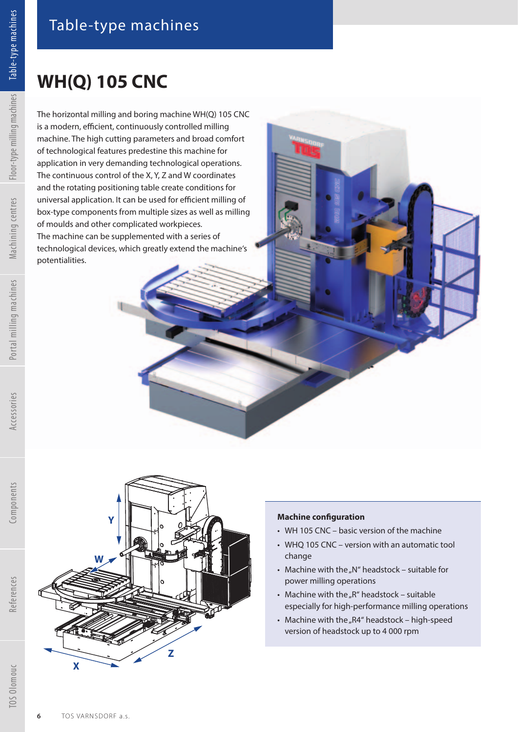## **WH(Q) 105 CNC**

The horizontal milling and boring machine WH(Q) 105 CNC is a modern, efficient, continuously controlled milling machine. The high cutting parameters and broad comfort of technological features predestine this machine for application in very demanding technological operations. The continuous control of the X, Y, Z and W coordinates and the rotating positioning table create conditions for universal application. It can be used for efficient milling of box-type components from multiple sizes as well as milling of moulds and other complicated workpieces. The machine can be supplemented with a series of technological devices, which greatly extend the machine's potentialities.



**Z**

## **Machine configuration**

- WH 105 CNC basic version of the machine
- WHQ 105 CNC version with an automatic tool change
- Machine with the "N" headstock suitable for power milling operations
- Machine with the " $R$ " headstock suitable especially for high-performance milling operations
- Machine with the "R4" headstock high-speed version of headstock up to 4 000 rpm

References

**X**